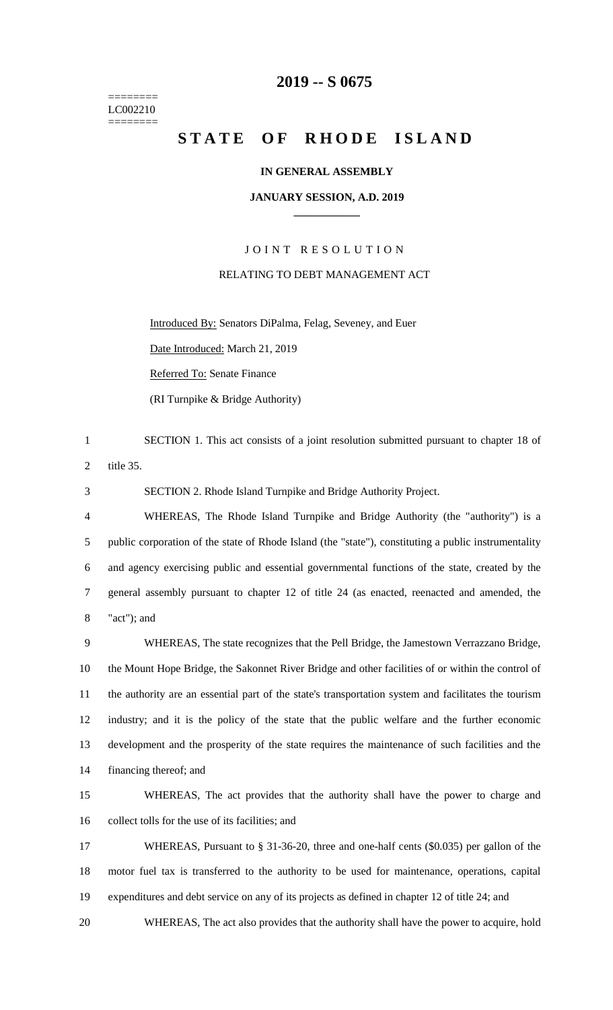======== LC002210 ========

### **-- S 0675**

## **STATE OF RHODE ISLAND**

#### **IN GENERAL ASSEMBLY**

#### **JANUARY SESSION, A.D. 2019 \_\_\_\_\_\_\_\_\_\_\_\_**

# JOINT RESOLUTION RELATING TO DEBT MANAGEMENT ACT

Introduced By: Senators DiPalma, Felag, Seveney, and Euer Date Introduced: March 21, 2019 Referred To: Senate Finance (RI Turnpike & Bridge Authority)

 SECTION 1. This act consists of a joint resolution submitted pursuant to chapter 18 of title 35.

SECTION 2. Rhode Island Turnpike and Bridge Authority Project.

 WHEREAS, The Rhode Island Turnpike and Bridge Authority (the "authority") is a public corporation of the state of Rhode Island (the "state"), constituting a public instrumentality and agency exercising public and essential governmental functions of the state, created by the general assembly pursuant to chapter 12 of title 24 (as enacted, reenacted and amended, the "act"); and

 WHEREAS, The state recognizes that the Pell Bridge, the Jamestown Verrazzano Bridge, the Mount Hope Bridge, the Sakonnet River Bridge and other facilities of or within the control of the authority are an essential part of the state's transportation system and facilitates the tourism industry; and it is the policy of the state that the public welfare and the further economic development and the prosperity of the state requires the maintenance of such facilities and the financing thereof; and

 WHEREAS, The act provides that the authority shall have the power to charge and collect tolls for the use of its facilities; and

 WHEREAS, Pursuant to § 31-36-20, three and one-half cents (\$0.035) per gallon of the motor fuel tax is transferred to the authority to be used for maintenance, operations, capital expenditures and debt service on any of its projects as defined in chapter 12 of title 24; and

WHEREAS, The act also provides that the authority shall have the power to acquire, hold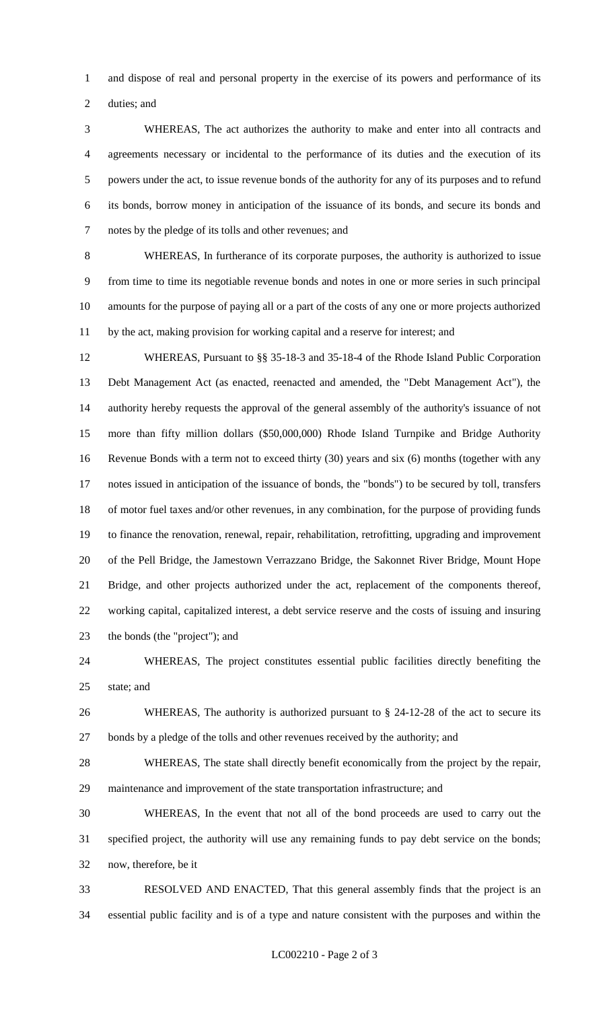and dispose of real and personal property in the exercise of its powers and performance of its

duties; and

 WHEREAS, The act authorizes the authority to make and enter into all contracts and agreements necessary or incidental to the performance of its duties and the execution of its powers under the act, to issue revenue bonds of the authority for any of its purposes and to refund its bonds, borrow money in anticipation of the issuance of its bonds, and secure its bonds and notes by the pledge of its tolls and other revenues; and

 WHEREAS, In furtherance of its corporate purposes, the authority is authorized to issue from time to time its negotiable revenue bonds and notes in one or more series in such principal amounts for the purpose of paying all or a part of the costs of any one or more projects authorized by the act, making provision for working capital and a reserve for interest; and

 WHEREAS, Pursuant to §§ 35-18-3 and 35-18-4 of the Rhode Island Public Corporation Debt Management Act (as enacted, reenacted and amended, the "Debt Management Act"), the authority hereby requests the approval of the general assembly of the authority's issuance of not more than fifty million dollars (\$50,000,000) Rhode Island Turnpike and Bridge Authority Revenue Bonds with a term not to exceed thirty (30) years and six (6) months (together with any notes issued in anticipation of the issuance of bonds, the "bonds") to be secured by toll, transfers of motor fuel taxes and/or other revenues, in any combination, for the purpose of providing funds to finance the renovation, renewal, repair, rehabilitation, retrofitting, upgrading and improvement of the Pell Bridge, the Jamestown Verrazzano Bridge, the Sakonnet River Bridge, Mount Hope Bridge, and other projects authorized under the act, replacement of the components thereof, working capital, capitalized interest, a debt service reserve and the costs of issuing and insuring the bonds (the "project"); and

 WHEREAS, The project constitutes essential public facilities directly benefiting the state; and

26 WHEREAS, The authority is authorized pursuant to § 24-12-28 of the act to secure its bonds by a pledge of the tolls and other revenues received by the authority; and

 WHEREAS, The state shall directly benefit economically from the project by the repair, maintenance and improvement of the state transportation infrastructure; and

 WHEREAS, In the event that not all of the bond proceeds are used to carry out the specified project, the authority will use any remaining funds to pay debt service on the bonds; now, therefore, be it

 RESOLVED AND ENACTED, That this general assembly finds that the project is an essential public facility and is of a type and nature consistent with the purposes and within the